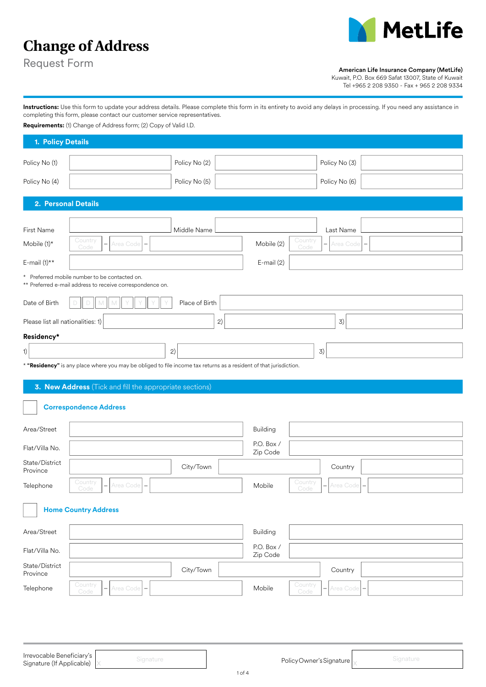

# **Change of Address**

Request Form

#### American Life Insurance Company (MetLife)

Kuwait, P.O. Box 669 Safat 13007, State of Kuwait

Tel +965 2 208 9350 - Fax + 965 2 208 9334

**Instructions:** Use this form to update your address details. Please complete this form in its entirety to avoid any delays in processing. If you need any assistance in completing this form, please contact our customer service representatives.

**Requirements:** (1) Change of Address form; (2) Copy of Valid I.D.

| 1. Policy Details                                      |                                                                                                                    |                        |                              |           |  |  |  |  |  |
|--------------------------------------------------------|--------------------------------------------------------------------------------------------------------------------|------------------------|------------------------------|-----------|--|--|--|--|--|
| Policy No (1)                                          | Policy No (2)                                                                                                      |                        | Policy No (3)                |           |  |  |  |  |  |
| Policy No (4)                                          | Policy No (5)                                                                                                      |                        | Policy No (6)                |           |  |  |  |  |  |
| 2. Personal Details                                    |                                                                                                                    |                        |                              |           |  |  |  |  |  |
| First Name                                             | Middle Name                                                                                                        |                        | Last Name                    |           |  |  |  |  |  |
| Mobile (1)*                                            | Country<br>Area Code<br>Code                                                                                       | Mobile (2)             | Country<br>Area Code<br>Code |           |  |  |  |  |  |
| E-mail $(1)$ **                                        |                                                                                                                    | E-mail (2)             |                              |           |  |  |  |  |  |
|                                                        | * Preferred mobile number to be contacted on.<br>** Preferred e-mail address to receive correspondence on.         |                        |                              |           |  |  |  |  |  |
| Date of Birth                                          | Place of Birth                                                                                                     |                        |                              |           |  |  |  |  |  |
| Please list all nationalities: 1)                      | 2)                                                                                                                 |                        | 3)                           |           |  |  |  |  |  |
| Residency*                                             |                                                                                                                    |                        |                              |           |  |  |  |  |  |
| 1)                                                     | 2)                                                                                                                 |                        | 3)                           |           |  |  |  |  |  |
|                                                        | * "Residency" is any place where you may be obliged to file income tax returns as a resident of that jurisdiction. |                        |                              |           |  |  |  |  |  |
|                                                        | 3. New Address (Tick and fill the appropriate sections)                                                            |                        |                              |           |  |  |  |  |  |
|                                                        | <b>Correspondence Address</b>                                                                                      |                        |                              |           |  |  |  |  |  |
| Area/Street                                            |                                                                                                                    | Building               |                              |           |  |  |  |  |  |
| Flat/Villa No.                                         |                                                                                                                    | P.O. Box /<br>Zip Code |                              |           |  |  |  |  |  |
| State/District<br>Province                             | City/Town                                                                                                          |                        | Country                      |           |  |  |  |  |  |
| Telephone                                              | Country<br>Area Code<br>Code                                                                                       | Mobile                 | Country<br>Area Code<br>Code |           |  |  |  |  |  |
|                                                        | <b>Home Country Address</b>                                                                                        |                        |                              |           |  |  |  |  |  |
| Area/Street                                            |                                                                                                                    | <b>Building</b>        |                              |           |  |  |  |  |  |
| Flat/Villa No.                                         |                                                                                                                    | P.O. Box /<br>Zip Code |                              |           |  |  |  |  |  |
| State/District<br>Province                             | City/Town                                                                                                          |                        | Country                      |           |  |  |  |  |  |
| Telephone                                              | Country<br>Area Code<br>Code                                                                                       | Mobile                 | Country<br>Area Code<br>Code |           |  |  |  |  |  |
|                                                        |                                                                                                                    |                        |                              |           |  |  |  |  |  |
|                                                        |                                                                                                                    |                        |                              |           |  |  |  |  |  |
|                                                        |                                                                                                                    |                        |                              |           |  |  |  |  |  |
| Irrevocable Beneficiary's<br>Signature (If Applicable) | Signature                                                                                                          |                        | Policy Owner's Signature     | Signature |  |  |  |  |  |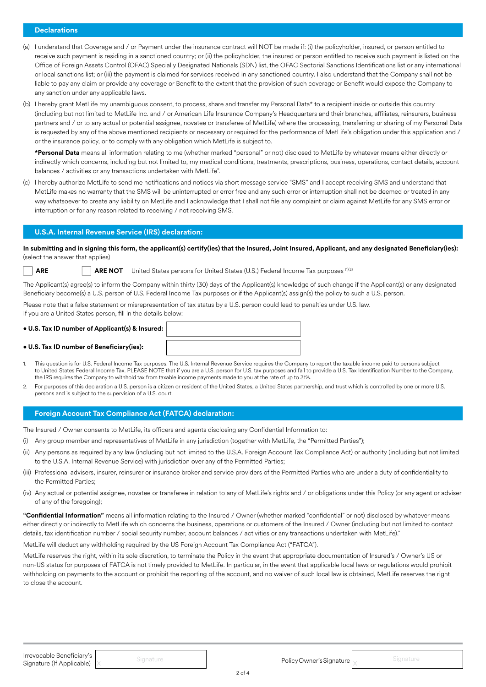# **Declarations**

- (a) I understand that Coverage and / or Payment under the insurance contract will NOT be made if: (i) the policyholder, insured, or person entitled to receive such payment is residing in a sanctioned country; or (ii) the policyholder, the insured or person entitled to receive such payment is listed on the Office of Foreign Assets Control (OFAC) Specially Designated Nationals (SDN) list, the OFAC Sectorial Sanctions Identifications list or any international or local sanctions list; or (iii) the payment is claimed for services received in any sanctioned country. I also understand that the Company shall not be liable to pay any claim or provide any coverage or Benefit to the extent that the provision of such coverage or Benefit would expose the Company to any sanction under any applicable laws.
- (b) I hereby grant MetLife my unambiguous consent, to process, share and transfer my Personal Data\* to a recipient inside or outside this country (including but not limited to MetLife Inc. and / or American Life Insurance Company's Headquarters and their branches, affiliates, reinsurers, business partners and / or to any actual or potential assignee, novatee or transferee of MetLife) where the processing, transferring or sharing of my Personal Data is requested by any of the above mentioned recipients or necessary or required for the performance of MetLife's obligation under this application and / or the insurance policy, or to comply with any obligation which MetLife is subject to.

**\*Personal Data** means all information relating to me (whether marked "personal" or not) disclosed to MetLife by whatever means either directly or indirectly which concerns, including but not limited to, my medical conditions, treatments, prescriptions, business, operations, contact details, account balances / activities or any transactions undertaken with MetLife".

(c) I hereby authorize MetLife to send me notifications and notices via short message service "SMS" and I accept receiving SMS and understand that MetLife makes no warranty that the SMS will be uninterrupted or error free and any such error or interruption shall not be deemed or treated in any way whatsoever to create any liability on MetLife and I acknowledge that I shall not file any complaint or claim against MetLife for any SMS error or interruption or for any reason related to receiving / not receiving SMS.

#### **U.S.A. Internal Revenue Service (IRS) declaration:**

**In submitting and in signing this form, the applicant(s) certify(ies) that the Insured, Joint Insured, Applicant, and any designated Beneficiary(ies):**  (select the answer that applies)

**ARE <b>ARE NOT** United States persons for United States (U.S.) Federal Income Tax purposes (1)(2)

The Applicant(s) agree(s) to inform the Company within thirty (30) days of the Applicant(s) knowledge of such change if the Applicant(s) or any designated Beneficiary become(s) a U.S. person of U.S. Federal Income Tax purposes or if the Applicant(s) assign(s) the policy to such a U.S. person.

Please note that a false statement or misrepresentation of tax status by a U.S. person could lead to penalties under U.S. law. If you are a United States person, fill in the details below:

#### **• U.S. Tax ID number of Beneficiary(ies):**

- 1. This question is for U.S. Federal Income Tax purposes. The U.S. Internal Revenue Service requires the Company to report the taxable income paid to persons subject to United States Federal Income Tax. PLEASE NOTE that if you are a U.S. person for U.S. tax purposes and fail to provide a U.S. Tax Identification Number to the Company, the IRS requires the Company to withhold tax from taxable income payments made to you at the rate of up to 31%.
- 2. For purposes of this declaration a U.S. person is a citizen or resident of the United States, a United States partnership, and trust which is controlled by one or more U.S. persons and is subject to the supervision of a U.S. court.

#### **Foreign Account Tax Compliance Act (FATCA) declaration:**

The Insured / Owner consents to MetLife, its officers and agents disclosing any Confidential Information to:

- (i) Any group member and representatives of MetLife in any jurisdiction (together with MetLife, the "Permitted Parties");
- (ii) Any persons as required by any law (including but not limited to the U.S.A. Foreign Account Tax Compliance Act) or authority (including but not limited to the U.S.A. Internal Revenue Service) with jurisdiction over any of the Permitted Parties;
- (iii) Professional advisers, insurer, reinsurer or insurance broker and service providers of the Permitted Parties who are under a duty of confidentiality to the Permitted Parties;
- (iv) Any actual or potential assignee, novatee or transferee in relation to any of MetLife's rights and / or obligations under this Policy (or any agent or adviser of any of the foregoing);

**"Confidential Information"** means all information relating to the Insured / Owner (whether marked "confidential" or not) disclosed by whatever means either directly or indirectly to MetLife which concerns the business, operations or customers of the Insured / Owner (including but not limited to contact details, tax identification number / social security number, account balances / activities or any transactions undertaken with MetLife)."

MetLife will deduct any withholding required by the US Foreign Account Tax Compliance Act ("FATCA").

MetLife reserves the right, within its sole discretion, to terminate the Policy in the event that appropriate documentation of Insured's / Owner's US or non-US status for purposes of FATCA is not timely provided to MetLife. In particular, in the event that applicable local laws or regulations would prohibit withholding on payments to the account or prohibit the reporting of the account, and no waiver of such local law is obtained, MetLife reserves the right to close the account.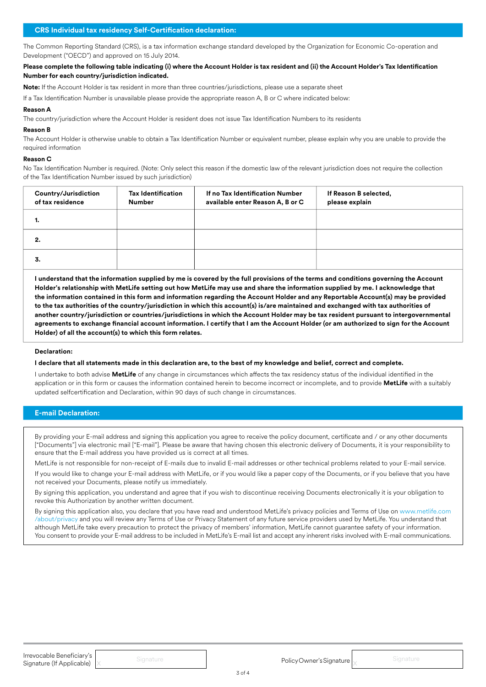The Common Reporting Standard (CRS), is a tax information exchange standard developed by the Organization for Economic Co-operation and Development ("OECD") and approved on 15 July 2014.

**Please complete the following table indicating (i) where the Account Holder is tax resident and (ii) the Account Holder's Tax Identification Number for each country/jurisdiction indicated.**

**Note:** If the Account Holder is tax resident in more than three countries/jurisdictions, please use a separate sheet

If a Tax Identification Number is unavailable please provide the appropriate reason A, B or C where indicated below:

#### **Reason A**

The country/jurisdiction where the Account Holder is resident does not issue Tax Identification Numbers to its residents

#### **Reason B**

The Account Holder is otherwise unable to obtain a Tax Identification Number or equivalent number, please explain why you are unable to provide the required information

#### **Reason C**

No Tax Identification Number is required. (Note: Only select this reason if the domestic law of the relevant jurisdiction does not require the collection of the Tax Identification Number issued by such jurisdiction)

| Country/Jurisdiction<br>of tax residence | <b>Tax Identification</b><br><b>Number</b> | If no Tax Identification Number<br>available enter Reason A, B or C | If Reason B selected,<br>please explain |
|------------------------------------------|--------------------------------------------|---------------------------------------------------------------------|-----------------------------------------|
| ٠.                                       |                                            |                                                                     |                                         |
| 2.                                       |                                            |                                                                     |                                         |
| 3.                                       |                                            |                                                                     |                                         |

**I understand that the information supplied by me is covered by the full provisions of the terms and conditions governing the Account Holder's relationship with MetLife setting out how MetLife may use and share the information supplied by me. I acknowledge that the information contained in this form and information regarding the Account Holder and any Reportable Account(s) may be provided to the tax authorities of the country/jurisdiction in which this account(s) is/are maintained and exchanged with tax authorities of another country/jurisdiction or countries/jurisdictions in which the Account Holder may be tax resident pursuant to intergovernmental agreements to exchange financial account information. I certify that I am the Account Holder (or am authorized to sign for the Account Holder) of all the account(s) to which this form relates.**

### **Declaration:**

#### **I declare that all statements made in this declaration are, to the best of my knowledge and belief, correct and complete.**

I undertake to both advise **MetLife** of any change in circumstances which affects the tax residency status of the individual identified in the application or in this form or causes the information contained herein to become incorrect or incomplete, and to provide **MetLife** with a suitably updated selfcertification and Declaration, within 90 days of such change in circumstances.

## **E-mail Declaration:**

By providing your E-mail address and signing this application you agree to receive the policy document, certificate and / or any other documents ["Documents"] via electronic mail ["E-mail"]. Please be aware that having chosen this electronic delivery of Documents, it is your responsibility to ensure that the E-mail address you have provided us is correct at all times.

MetLife is not responsible for non-receipt of E-mails due to invalid E-mail addresses or other technical problems related to your E-mail service.

If you would like to change your E-mail address with MetLife, or if you would like a paper copy of the Documents, or if you believe that you have not received your Documents, please notify us immediately.

By signing this application, you understand and agree that if you wish to discontinue receiving Documents electronically it is your obligation to revoke this Authorization by another written document.

By signing this application also, you declare that you have read and understood MetLife's privacy policies and Terms of Use on www.metlife.com /about/privacy and you will review any Terms of Use or Privacy Statement of any future service providers used by MetLife. You understand that although MetLife take every precaution to protect the privacy of members' information, MetLife cannot guarantee safety of your information. You consent to provide your E-mail address to be included in MetLife's E-mail list and accept any inherent risks involved with E-mail communications.